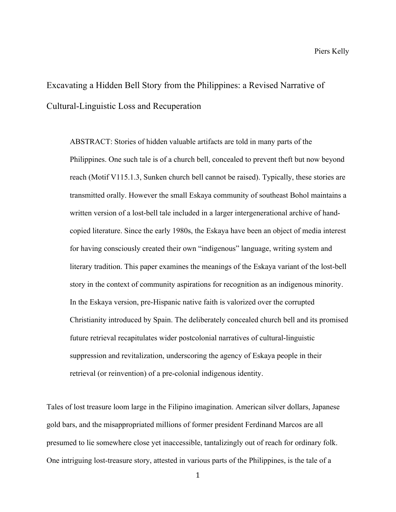# Excavating a Hidden Bell Story from the Philippines: a Revised Narrative of Cultural-Linguistic Loss and Recuperation

ABSTRACT: Stories of hidden valuable artifacts are told in many parts of the Philippines. One such tale is of a church bell, concealed to prevent theft but now beyond reach (Motif V115.1.3, Sunken church bell cannot be raised). Typically, these stories are transmitted orally. However the small Eskaya community of southeast Bohol maintains a written version of a lost-bell tale included in a larger intergenerational archive of handcopied literature. Since the early 1980s, the Eskaya have been an object of media interest for having consciously created their own "indigenous" language, writing system and literary tradition. This paper examines the meanings of the Eskaya variant of the lost-bell story in the context of community aspirations for recognition as an indigenous minority. In the Eskaya version, pre-Hispanic native faith is valorized over the corrupted Christianity introduced by Spain. The deliberately concealed church bell and its promised future retrieval recapitulates wider postcolonial narratives of cultural-linguistic suppression and revitalization, underscoring the agency of Eskaya people in their retrieval (or reinvention) of a pre-colonial indigenous identity.

Tales of lost treasure loom large in the Filipino imagination. American silver dollars, Japanese gold bars, and the misappropriated millions of former president Ferdinand Marcos are all presumed to lie somewhere close yet inaccessible, tantalizingly out of reach for ordinary folk. One intriguing lost-treasure story, attested in various parts of the Philippines, is the tale of a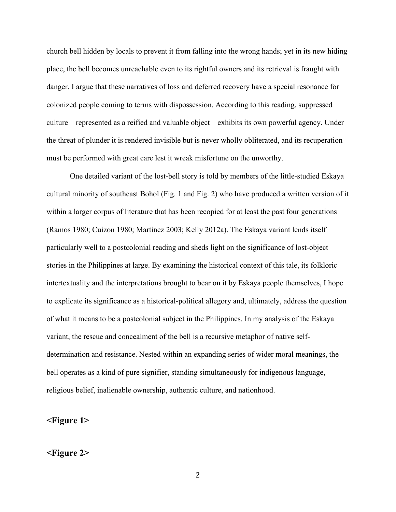church bell hidden by locals to prevent it from falling into the wrong hands; yet in its new hiding place, the bell becomes unreachable even to its rightful owners and its retrieval is fraught with danger. I argue that these narratives of loss and deferred recovery have a special resonance for colonized people coming to terms with dispossession. According to this reading, suppressed culture—represented as a reified and valuable object—exhibits its own powerful agency. Under the threat of plunder it is rendered invisible but is never wholly obliterated, and its recuperation must be performed with great care lest it wreak misfortune on the unworthy.

One detailed variant of the lost-bell story is told by members of the little-studied Eskaya cultural minority of southeast Bohol (Fig. 1 and Fig. 2) who have produced a written version of it within a larger corpus of literature that has been recopied for at least the past four generations (Ramos 1980; Cuizon 1980; Martinez 2003; Kelly 2012a). The Eskaya variant lends itself particularly well to a postcolonial reading and sheds light on the significance of lost-object stories in the Philippines at large. By examining the historical context of this tale, its folkloric intertextuality and the interpretations brought to bear on it by Eskaya people themselves, I hope to explicate its significance as a historical-political allegory and, ultimately, address the question of what it means to be a postcolonial subject in the Philippines. In my analysis of the Eskaya variant, the rescue and concealment of the bell is a recursive metaphor of native selfdetermination and resistance. Nested within an expanding series of wider moral meanings, the bell operates as a kind of pure signifier, standing simultaneously for indigenous language, religious belief, inalienable ownership, authentic culture, and nationhood.

### **<Figure 1>**

### **<Figure 2>**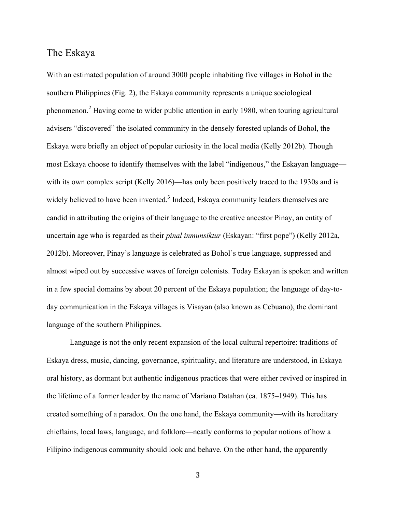## The Eskaya

With an estimated population of around 3000 people inhabiting five villages in Bohol in the southern Philippines (Fig. 2), the Eskaya community represents a unique sociological phenomenon.<sup>2</sup> Having come to wider public attention in early 1980, when touring agricultural advisers "discovered" the isolated community in the densely forested uplands of Bohol, the Eskaya were briefly an object of popular curiosity in the local media (Kelly 2012b). Though most Eskaya choose to identify themselves with the label "indigenous," the Eskayan language with its own complex script (Kelly 2016)—has only been positively traced to the 1930s and is widely believed to have been invented.<sup>3</sup> Indeed, Eskaya community leaders themselves are candid in attributing the origins of their language to the creative ancestor Pinay, an entity of uncertain age who is regarded as their *pinal inmunsiktur* (Eskayan: "first pope") (Kelly 2012a, 2012b). Moreover, Pinay's language is celebrated as Bohol's true language, suppressed and almost wiped out by successive waves of foreign colonists. Today Eskayan is spoken and written in a few special domains by about 20 percent of the Eskaya population; the language of day-today communication in the Eskaya villages is Visayan (also known as Cebuano), the dominant language of the southern Philippines.

Language is not the only recent expansion of the local cultural repertoire: traditions of Eskaya dress, music, dancing, governance, spirituality, and literature are understood, in Eskaya oral history, as dormant but authentic indigenous practices that were either revived or inspired in the lifetime of a former leader by the name of Mariano Datahan (ca. 1875–1949). This has created something of a paradox. On the one hand, the Eskaya community—with its hereditary chieftains, local laws, language, and folklore—neatly conforms to popular notions of how a Filipino indigenous community should look and behave. On the other hand, the apparently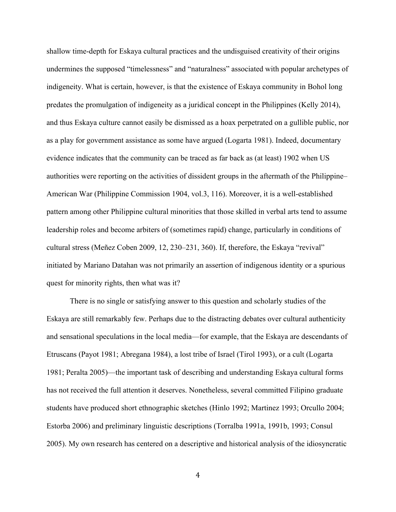shallow time-depth for Eskaya cultural practices and the undisguised creativity of their origins undermines the supposed "timelessness" and "naturalness" associated with popular archetypes of indigeneity. What is certain, however, is that the existence of Eskaya community in Bohol long predates the promulgation of indigeneity as a juridical concept in the Philippines (Kelly 2014), and thus Eskaya culture cannot easily be dismissed as a hoax perpetrated on a gullible public, nor as a play for government assistance as some have argued (Logarta 1981). Indeed, documentary evidence indicates that the community can be traced as far back as (at least) 1902 when US authorities were reporting on the activities of dissident groups in the aftermath of the Philippine– American War (Philippine Commission 1904, vol.3, 116). Moreover, it is a well-established pattern among other Philippine cultural minorities that those skilled in verbal arts tend to assume leadership roles and become arbiters of (sometimes rapid) change, particularly in conditions of cultural stress (Meñez Coben 2009, 12, 230–231, 360). If, therefore, the Eskaya "revival" initiated by Mariano Datahan was not primarily an assertion of indigenous identity or a spurious quest for minority rights, then what was it?

There is no single or satisfying answer to this question and scholarly studies of the Eskaya are still remarkably few. Perhaps due to the distracting debates over cultural authenticity and sensational speculations in the local media—for example, that the Eskaya are descendants of Etruscans (Payot 1981; Abregana 1984), a lost tribe of Israel (Tirol 1993), or a cult (Logarta 1981; Peralta 2005)—the important task of describing and understanding Eskaya cultural forms has not received the full attention it deserves. Nonetheless, several committed Filipino graduate students have produced short ethnographic sketches (Hinlo 1992; Martinez 1993; Orcullo 2004; Estorba 2006) and preliminary linguistic descriptions (Torralba 1991a, 1991b, 1993; Consul 2005). My own research has centered on a descriptive and historical analysis of the idiosyncratic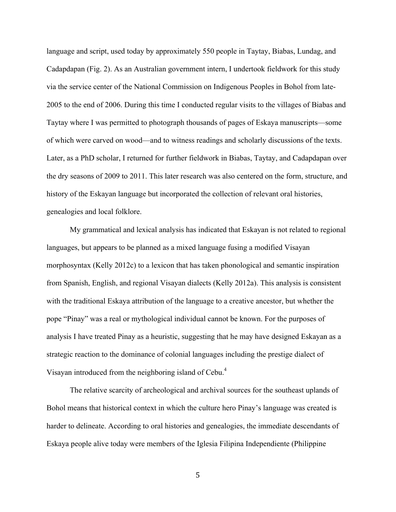language and script, used today by approximately 550 people in Taytay, Biabas, Lundag, and Cadapdapan (Fig. 2). As an Australian government intern, I undertook fieldwork for this study via the service center of the National Commission on Indigenous Peoples in Bohol from late-2005 to the end of 2006. During this time I conducted regular visits to the villages of Biabas and Taytay where I was permitted to photograph thousands of pages of Eskaya manuscripts—some of which were carved on wood—and to witness readings and scholarly discussions of the texts. Later, as a PhD scholar, I returned for further fieldwork in Biabas, Taytay, and Cadapdapan over the dry seasons of 2009 to 2011. This later research was also centered on the form, structure, and history of the Eskayan language but incorporated the collection of relevant oral histories, genealogies and local folklore.

My grammatical and lexical analysis has indicated that Eskayan is not related to regional languages, but appears to be planned as a mixed language fusing a modified Visayan morphosyntax (Kelly 2012c) to a lexicon that has taken phonological and semantic inspiration from Spanish, English, and regional Visayan dialects (Kelly 2012a). This analysis is consistent with the traditional Eskaya attribution of the language to a creative ancestor, but whether the pope "Pinay" was a real or mythological individual cannot be known. For the purposes of analysis I have treated Pinay as a heuristic, suggesting that he may have designed Eskayan as a strategic reaction to the dominance of colonial languages including the prestige dialect of Visayan introduced from the neighboring island of Cebu.4

The relative scarcity of archeological and archival sources for the southeast uplands of Bohol means that historical context in which the culture hero Pinay's language was created is harder to delineate. According to oral histories and genealogies, the immediate descendants of Eskaya people alive today were members of the Iglesia Filipina Independiente (Philippine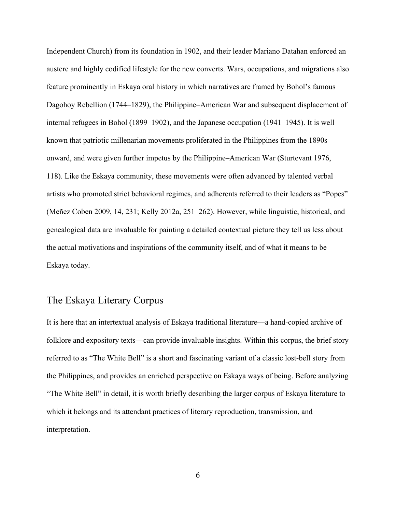Independent Church) from its foundation in 1902, and their leader Mariano Datahan enforced an austere and highly codified lifestyle for the new converts. Wars, occupations, and migrations also feature prominently in Eskaya oral history in which narratives are framed by Bohol's famous Dagohoy Rebellion (1744–1829), the Philippine–American War and subsequent displacement of internal refugees in Bohol (1899–1902), and the Japanese occupation (1941–1945). It is well known that patriotic millenarian movements proliferated in the Philippines from the 1890s onward, and were given further impetus by the Philippine–American War (Sturtevant 1976, 118). Like the Eskaya community, these movements were often advanced by talented verbal artists who promoted strict behavioral regimes, and adherents referred to their leaders as "Popes" (Meñez Coben 2009, 14, 231; Kelly 2012a, 251–262). However, while linguistic, historical, and genealogical data are invaluable for painting a detailed contextual picture they tell us less about the actual motivations and inspirations of the community itself, and of what it means to be Eskaya today.

# The Eskaya Literary Corpus

It is here that an intertextual analysis of Eskaya traditional literature—a hand-copied archive of folklore and expository texts—can provide invaluable insights. Within this corpus, the brief story referred to as "The White Bell" is a short and fascinating variant of a classic lost-bell story from the Philippines, and provides an enriched perspective on Eskaya ways of being. Before analyzing "The White Bell" in detail, it is worth briefly describing the larger corpus of Eskaya literature to which it belongs and its attendant practices of literary reproduction, transmission, and interpretation.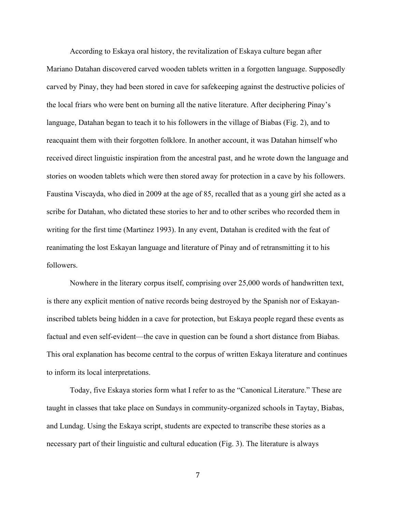According to Eskaya oral history, the revitalization of Eskaya culture began after Mariano Datahan discovered carved wooden tablets written in a forgotten language. Supposedly carved by Pinay, they had been stored in cave for safekeeping against the destructive policies of the local friars who were bent on burning all the native literature. After deciphering Pinay's language, Datahan began to teach it to his followers in the village of Biabas (Fig. 2), and to reacquaint them with their forgotten folklore. In another account, it was Datahan himself who received direct linguistic inspiration from the ancestral past, and he wrote down the language and stories on wooden tablets which were then stored away for protection in a cave by his followers. Faustina Viscayda, who died in 2009 at the age of 85, recalled that as a young girl she acted as a scribe for Datahan, who dictated these stories to her and to other scribes who recorded them in writing for the first time (Martinez 1993). In any event, Datahan is credited with the feat of reanimating the lost Eskayan language and literature of Pinay and of retransmitting it to his followers.

Nowhere in the literary corpus itself, comprising over 25,000 words of handwritten text, is there any explicit mention of native records being destroyed by the Spanish nor of Eskayaninscribed tablets being hidden in a cave for protection, but Eskaya people regard these events as factual and even self-evident—the cave in question can be found a short distance from Biabas. This oral explanation has become central to the corpus of written Eskaya literature and continues to inform its local interpretations.

Today, five Eskaya stories form what I refer to as the "Canonical Literature." These are taught in classes that take place on Sundays in community-organized schools in Taytay, Biabas, and Lundag. Using the Eskaya script, students are expected to transcribe these stories as a necessary part of their linguistic and cultural education (Fig. 3). The literature is always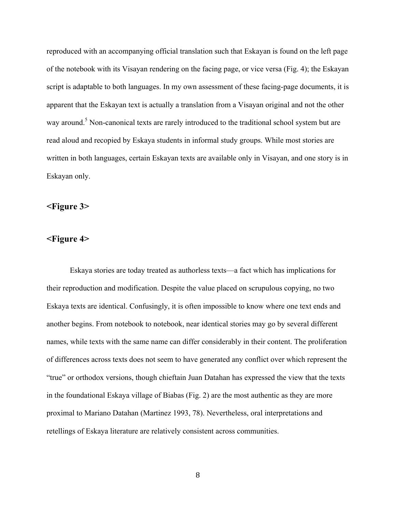reproduced with an accompanying official translation such that Eskayan is found on the left page of the notebook with its Visayan rendering on the facing page, or vice versa (Fig. 4); the Eskayan script is adaptable to both languages. In my own assessment of these facing-page documents, it is apparent that the Eskayan text is actually a translation from a Visayan original and not the other way around.<sup>5</sup> Non-canonical texts are rarely introduced to the traditional school system but are read aloud and recopied by Eskaya students in informal study groups. While most stories are written in both languages, certain Eskayan texts are available only in Visayan, and one story is in Eskayan only.

### **<Figure 3>**

### **<Figure 4>**

Eskaya stories are today treated as authorless texts—a fact which has implications for their reproduction and modification. Despite the value placed on scrupulous copying, no two Eskaya texts are identical. Confusingly, it is often impossible to know where one text ends and another begins. From notebook to notebook, near identical stories may go by several different names, while texts with the same name can differ considerably in their content. The proliferation of differences across texts does not seem to have generated any conflict over which represent the "true" or orthodox versions, though chieftain Juan Datahan has expressed the view that the texts in the foundational Eskaya village of Biabas (Fig. 2) are the most authentic as they are more proximal to Mariano Datahan (Martinez 1993, 78). Nevertheless, oral interpretations and retellings of Eskaya literature are relatively consistent across communities.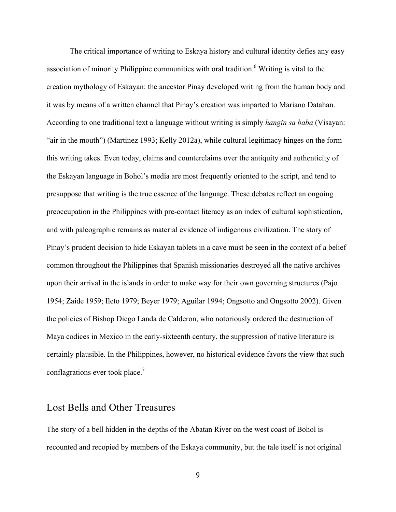The critical importance of writing to Eskaya history and cultural identity defies any easy association of minority Philippine communities with oral tradition.<sup>6</sup> Writing is vital to the creation mythology of Eskayan: the ancestor Pinay developed writing from the human body and it was by means of a written channel that Pinay's creation was imparted to Mariano Datahan. According to one traditional text a language without writing is simply *hangin sa baba* (Visayan: "air in the mouth") (Martinez 1993; Kelly 2012a), while cultural legitimacy hinges on the form this writing takes. Even today, claims and counterclaims over the antiquity and authenticity of the Eskayan language in Bohol's media are most frequently oriented to the script, and tend to presuppose that writing is the true essence of the language. These debates reflect an ongoing preoccupation in the Philippines with pre-contact literacy as an index of cultural sophistication, and with paleographic remains as material evidence of indigenous civilization. The story of Pinay's prudent decision to hide Eskayan tablets in a cave must be seen in the context of a belief common throughout the Philippines that Spanish missionaries destroyed all the native archives upon their arrival in the islands in order to make way for their own governing structures (Pajo 1954; Zaide 1959; Ileto 1979; Beyer 1979; Aguilar 1994; Ongsotto and Ongsotto 2002). Given the policies of Bishop Diego Landa de Calderon, who notoriously ordered the destruction of Maya codices in Mexico in the early-sixteenth century, the suppression of native literature is certainly plausible. In the Philippines, however, no historical evidence favors the view that such conflagrations ever took place.<sup>7</sup>

### Lost Bells and Other Treasures

The story of a bell hidden in the depths of the Abatan River on the west coast of Bohol is recounted and recopied by members of the Eskaya community, but the tale itself is not original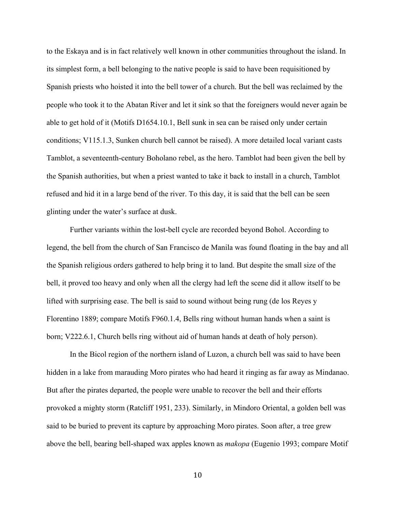to the Eskaya and is in fact relatively well known in other communities throughout the island. In its simplest form, a bell belonging to the native people is said to have been requisitioned by Spanish priests who hoisted it into the bell tower of a church. But the bell was reclaimed by the people who took it to the Abatan River and let it sink so that the foreigners would never again be able to get hold of it (Motifs D1654.10.1, Bell sunk in sea can be raised only under certain conditions; V115.1.3, Sunken church bell cannot be raised). A more detailed local variant casts Tamblot, a seventeenth-century Boholano rebel, as the hero. Tamblot had been given the bell by the Spanish authorities, but when a priest wanted to take it back to install in a church, Tamblot refused and hid it in a large bend of the river. To this day, it is said that the bell can be seen glinting under the water's surface at dusk.

Further variants within the lost-bell cycle are recorded beyond Bohol. According to legend, the bell from the church of San Francisco de Manila was found floating in the bay and all the Spanish religious orders gathered to help bring it to land. But despite the small size of the bell, it proved too heavy and only when all the clergy had left the scene did it allow itself to be lifted with surprising ease. The bell is said to sound without being rung (de los Reyes y Florentino 1889; compare Motifs F960.1.4, Bells ring without human hands when a saint is born; V222.6.1, Church bells ring without aid of human hands at death of holy person).

In the Bicol region of the northern island of Luzon, a church bell was said to have been hidden in a lake from marauding Moro pirates who had heard it ringing as far away as Mindanao. But after the pirates departed, the people were unable to recover the bell and their efforts provoked a mighty storm (Ratcliff 1951, 233). Similarly, in Mindoro Oriental, a golden bell was said to be buried to prevent its capture by approaching Moro pirates. Soon after, a tree grew above the bell, bearing bell-shaped wax apples known as *makopa* (Eugenio 1993; compare Motif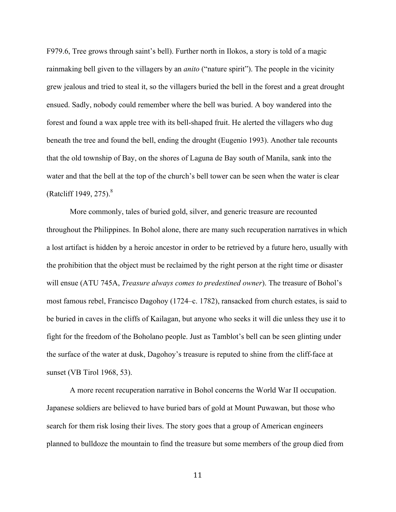F979.6, Tree grows through saint's bell). Further north in Ilokos, a story is told of a magic rainmaking bell given to the villagers by an *anito* ("nature spirit"). The people in the vicinity grew jealous and tried to steal it, so the villagers buried the bell in the forest and a great drought ensued. Sadly, nobody could remember where the bell was buried. A boy wandered into the forest and found a wax apple tree with its bell-shaped fruit. He alerted the villagers who dug beneath the tree and found the bell, ending the drought (Eugenio 1993). Another tale recounts that the old township of Bay, on the shores of Laguna de Bay south of Manila, sank into the water and that the bell at the top of the church's bell tower can be seen when the water is clear (Ratcliff 1949, 275).<sup>8</sup>

More commonly, tales of buried gold, silver, and generic treasure are recounted throughout the Philippines. In Bohol alone, there are many such recuperation narratives in which a lost artifact is hidden by a heroic ancestor in order to be retrieved by a future hero, usually with the prohibition that the object must be reclaimed by the right person at the right time or disaster will ensue (ATU 745A, *Treasure always comes to predestined owner*). The treasure of Bohol's most famous rebel, Francisco Dagohoy (1724–c. 1782), ransacked from church estates, is said to be buried in caves in the cliffs of Kailagan, but anyone who seeks it will die unless they use it to fight for the freedom of the Boholano people. Just as Tamblot's bell can be seen glinting under the surface of the water at dusk, Dagohoy's treasure is reputed to shine from the cliff-face at sunset (VB Tirol 1968, 53).

A more recent recuperation narrative in Bohol concerns the World War II occupation. Japanese soldiers are believed to have buried bars of gold at Mount Puwawan, but those who search for them risk losing their lives. The story goes that a group of American engineers planned to bulldoze the mountain to find the treasure but some members of the group died from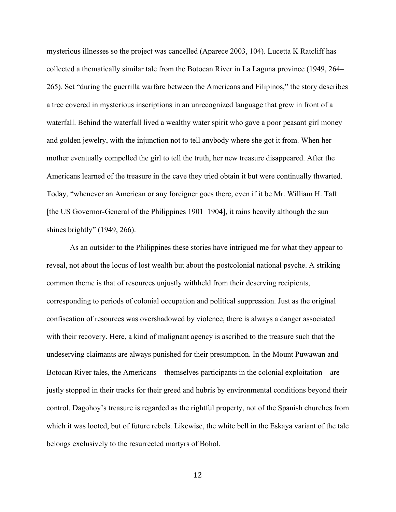mysterious illnesses so the project was cancelled (Aparece 2003, 104). Lucetta K Ratcliff has collected a thematically similar tale from the Botocan River in La Laguna province (1949, 264– 265). Set "during the guerrilla warfare between the Americans and Filipinos," the story describes a tree covered in mysterious inscriptions in an unrecognized language that grew in front of a waterfall. Behind the waterfall lived a wealthy water spirit who gave a poor peasant girl money and golden jewelry, with the injunction not to tell anybody where she got it from. When her mother eventually compelled the girl to tell the truth, her new treasure disappeared. After the Americans learned of the treasure in the cave they tried obtain it but were continually thwarted. Today, "whenever an American or any foreigner goes there, even if it be Mr. William H. Taft [the US Governor-General of the Philippines 1901–1904], it rains heavily although the sun shines brightly" (1949, 266).

As an outsider to the Philippines these stories have intrigued me for what they appear to reveal, not about the locus of lost wealth but about the postcolonial national psyche. A striking common theme is that of resources unjustly withheld from their deserving recipients, corresponding to periods of colonial occupation and political suppression. Just as the original confiscation of resources was overshadowed by violence, there is always a danger associated with their recovery. Here, a kind of malignant agency is ascribed to the treasure such that the undeserving claimants are always punished for their presumption. In the Mount Puwawan and Botocan River tales, the Americans—themselves participants in the colonial exploitation—are justly stopped in their tracks for their greed and hubris by environmental conditions beyond their control. Dagohoy's treasure is regarded as the rightful property, not of the Spanish churches from which it was looted, but of future rebels. Likewise, the white bell in the Eskaya variant of the tale belongs exclusively to the resurrected martyrs of Bohol.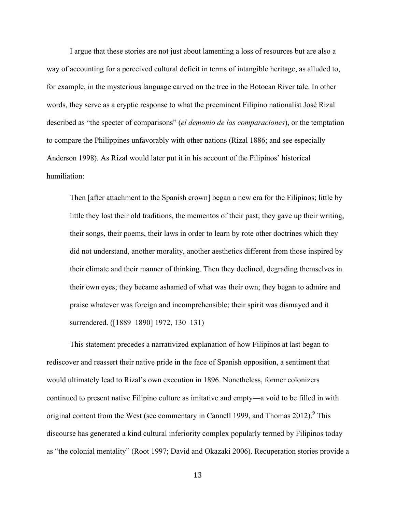I argue that these stories are not just about lamenting a loss of resources but are also a way of accounting for a perceived cultural deficit in terms of intangible heritage, as alluded to, for example, in the mysterious language carved on the tree in the Botocan River tale. In other words, they serve as a cryptic response to what the preeminent Filipino nationalist José Rizal described as "the specter of comparisons" (*el demonio de las comparaciones*), or the temptation to compare the Philippines unfavorably with other nations (Rizal 1886; and see especially Anderson 1998). As Rizal would later put it in his account of the Filipinos' historical humiliation:

Then [after attachment to the Spanish crown] began a new era for the Filipinos; little by little they lost their old traditions, the mementos of their past; they gave up their writing, their songs, their poems, their laws in order to learn by rote other doctrines which they did not understand, another morality, another aesthetics different from those inspired by their climate and their manner of thinking. Then they declined, degrading themselves in their own eyes; they became ashamed of what was their own; they began to admire and praise whatever was foreign and incomprehensible; their spirit was dismayed and it surrendered. ([1889–1890] 1972, 130–131)

This statement precedes a narrativized explanation of how Filipinos at last began to rediscover and reassert their native pride in the face of Spanish opposition, a sentiment that would ultimately lead to Rizal's own execution in 1896. Nonetheless, former colonizers continued to present native Filipino culture as imitative and empty—a void to be filled in with original content from the West (see commentary in Cannell 1999, and Thomas 2012).<sup>9</sup> This discourse has generated a kind cultural inferiority complex popularly termed by Filipinos today as "the colonial mentality" (Root 1997; David and Okazaki 2006). Recuperation stories provide a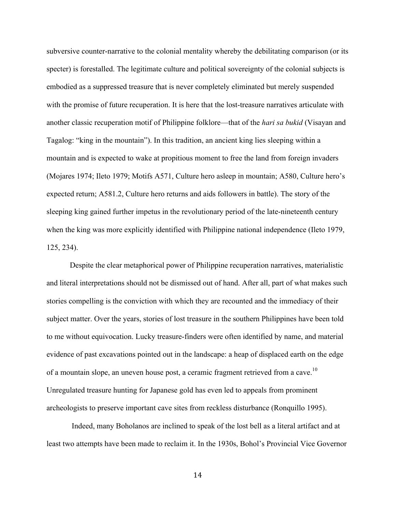subversive counter-narrative to the colonial mentality whereby the debilitating comparison (or its specter) is forestalled. The legitimate culture and political sovereignty of the colonial subjects is embodied as a suppressed treasure that is never completely eliminated but merely suspended with the promise of future recuperation. It is here that the lost-treasure narratives articulate with another classic recuperation motif of Philippine folklore—that of the *hari sa bukid* (Visayan and Tagalog: "king in the mountain"). In this tradition, an ancient king lies sleeping within a mountain and is expected to wake at propitious moment to free the land from foreign invaders (Mojares 1974; Ileto 1979; Motifs A571, Culture hero asleep in mountain; A580, Culture hero's expected return; A581.2, Culture hero returns and aids followers in battle). The story of the sleeping king gained further impetus in the revolutionary period of the late-nineteenth century when the king was more explicitly identified with Philippine national independence (Ileto 1979, 125, 234).

Despite the clear metaphorical power of Philippine recuperation narratives, materialistic and literal interpretations should not be dismissed out of hand. After all, part of what makes such stories compelling is the conviction with which they are recounted and the immediacy of their subject matter. Over the years, stories of lost treasure in the southern Philippines have been told to me without equivocation. Lucky treasure-finders were often identified by name, and material evidence of past excavations pointed out in the landscape: a heap of displaced earth on the edge of a mountain slope, an uneven house post, a ceramic fragment retrieved from a cave.<sup>10</sup> Unregulated treasure hunting for Japanese gold has even led to appeals from prominent archeologists to preserve important cave sites from reckless disturbance (Ronquillo 1995).

Indeed, many Boholanos are inclined to speak of the lost bell as a literal artifact and at least two attempts have been made to reclaim it. In the 1930s, Bohol's Provincial Vice Governor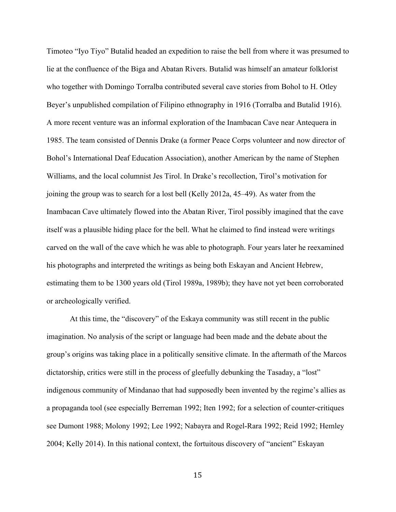Timoteo "Iyo Tiyo" Butalid headed an expedition to raise the bell from where it was presumed to lie at the confluence of the Biga and Abatan Rivers. Butalid was himself an amateur folklorist who together with Domingo Torralba contributed several cave stories from Bohol to H. Otley Beyer's unpublished compilation of Filipino ethnography in 1916 (Torralba and Butalid 1916). A more recent venture was an informal exploration of the Inambacan Cave near Antequera in 1985. The team consisted of Dennis Drake (a former Peace Corps volunteer and now director of Bohol's International Deaf Education Association), another American by the name of Stephen Williams, and the local columnist Jes Tirol. In Drake's recollection, Tirol's motivation for joining the group was to search for a lost bell (Kelly 2012a, 45–49). As water from the Inambacan Cave ultimately flowed into the Abatan River, Tirol possibly imagined that the cave itself was a plausible hiding place for the bell. What he claimed to find instead were writings carved on the wall of the cave which he was able to photograph. Four years later he reexamined his photographs and interpreted the writings as being both Eskayan and Ancient Hebrew, estimating them to be 1300 years old (Tirol 1989a, 1989b); they have not yet been corroborated or archeologically verified.

At this time, the "discovery" of the Eskaya community was still recent in the public imagination. No analysis of the script or language had been made and the debate about the group's origins was taking place in a politically sensitive climate. In the aftermath of the Marcos dictatorship, critics were still in the process of gleefully debunking the Tasaday, a "lost" indigenous community of Mindanao that had supposedly been invented by the regime's allies as a propaganda tool (see especially Berreman 1992; Iten 1992; for a selection of counter-critiques see Dumont 1988; Molony 1992; Lee 1992; Nabayra and Rogel-Rara 1992; Reid 1992; Hemley 2004; Kelly 2014). In this national context, the fortuitous discovery of "ancient" Eskayan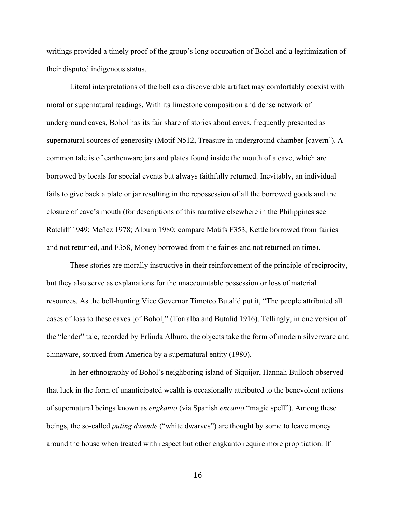writings provided a timely proof of the group's long occupation of Bohol and a legitimization of their disputed indigenous status.

Literal interpretations of the bell as a discoverable artifact may comfortably coexist with moral or supernatural readings. With its limestone composition and dense network of underground caves, Bohol has its fair share of stories about caves, frequently presented as supernatural sources of generosity (Motif N512, Treasure in underground chamber [cavern]). A common tale is of earthenware jars and plates found inside the mouth of a cave, which are borrowed by locals for special events but always faithfully returned. Inevitably, an individual fails to give back a plate or jar resulting in the repossession of all the borrowed goods and the closure of cave's mouth (for descriptions of this narrative elsewhere in the Philippines see Ratcliff 1949; Meñez 1978; Alburo 1980; compare Motifs F353, Kettle borrowed from fairies and not returned, and F358, Money borrowed from the fairies and not returned on time).

These stories are morally instructive in their reinforcement of the principle of reciprocity, but they also serve as explanations for the unaccountable possession or loss of material resources. As the bell-hunting Vice Governor Timoteo Butalid put it, "The people attributed all cases of loss to these caves [of Bohol]" (Torralba and Butalid 1916). Tellingly, in one version of the "lender" tale, recorded by Erlinda Alburo, the objects take the form of modern silverware and chinaware, sourced from America by a supernatural entity (1980).

In her ethnography of Bohol's neighboring island of Siquijor, Hannah Bulloch observed that luck in the form of unanticipated wealth is occasionally attributed to the benevolent actions of supernatural beings known as *engkanto* (via Spanish *encanto* "magic spell"). Among these beings, the so-called *puting dwende* ("white dwarves") are thought by some to leave money around the house when treated with respect but other engkanto require more propitiation. If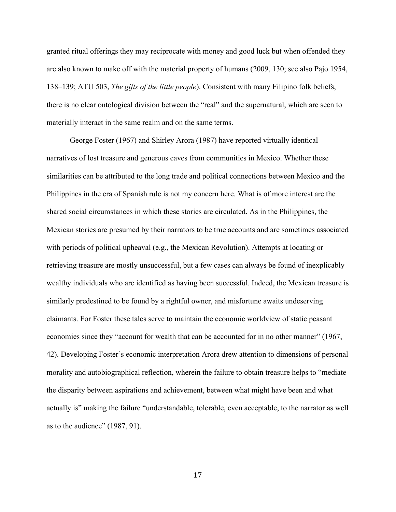granted ritual offerings they may reciprocate with money and good luck but when offended they are also known to make off with the material property of humans (2009, 130; see also Pajo 1954, 138–139; ATU 503, *The gifts of the little people*). Consistent with many Filipino folk beliefs, there is no clear ontological division between the "real" and the supernatural, which are seen to materially interact in the same realm and on the same terms.

George Foster (1967) and Shirley Arora (1987) have reported virtually identical narratives of lost treasure and generous caves from communities in Mexico. Whether these similarities can be attributed to the long trade and political connections between Mexico and the Philippines in the era of Spanish rule is not my concern here. What is of more interest are the shared social circumstances in which these stories are circulated. As in the Philippines, the Mexican stories are presumed by their narrators to be true accounts and are sometimes associated with periods of political upheaval (e.g., the Mexican Revolution). Attempts at locating or retrieving treasure are mostly unsuccessful, but a few cases can always be found of inexplicably wealthy individuals who are identified as having been successful. Indeed, the Mexican treasure is similarly predestined to be found by a rightful owner, and misfortune awaits undeserving claimants. For Foster these tales serve to maintain the economic worldview of static peasant economies since they "account for wealth that can be accounted for in no other manner" (1967, 42). Developing Foster's economic interpretation Arora drew attention to dimensions of personal morality and autobiographical reflection, wherein the failure to obtain treasure helps to "mediate the disparity between aspirations and achievement, between what might have been and what actually is" making the failure "understandable, tolerable, even acceptable, to the narrator as well as to the audience" (1987, 91).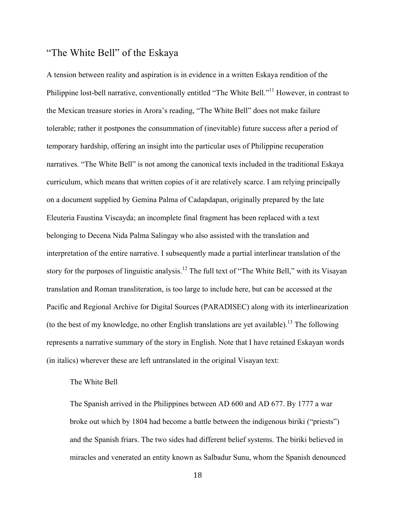# "The White Bell" of the Eskaya

A tension between reality and aspiration is in evidence in a written Eskaya rendition of the Philippine lost-bell narrative, conventionally entitled "The White Bell."<sup>11</sup> However, in contrast to the Mexican treasure stories in Arora's reading, "The White Bell" does not make failure tolerable; rather it postpones the consummation of (inevitable) future success after a period of temporary hardship, offering an insight into the particular uses of Philippine recuperation narratives. "The White Bell" is not among the canonical texts included in the traditional Eskaya curriculum, which means that written copies of it are relatively scarce. I am relying principally on a document supplied by Gemina Palma of Cadapdapan, originally prepared by the late Eleuteria Faustina Viscayda; an incomplete final fragment has been replaced with a text belonging to Decena Nida Palma Salingay who also assisted with the translation and interpretation of the entire narrative. I subsequently made a partial interlinear translation of the story for the purposes of linguistic analysis.<sup>12</sup> The full text of "The White Bell," with its Visayan translation and Roman transliteration, is too large to include here, but can be accessed at the Pacific and Regional Archive for Digital Sources (PARADISEC) along with its interlinearization (to the best of my knowledge, no other English translations are yet available).<sup>13</sup> The following represents a narrative summary of the story in English. Note that I have retained Eskayan words (in italics) wherever these are left untranslated in the original Visayan text:

#### The White Bell

The Spanish arrived in the Philippines between AD 600 and AD 677. By 1777 a war broke out which by 1804 had become a battle between the indigenous biriki ("priests") and the Spanish friars. The two sides had different belief systems. The biriki believed in miracles and venerated an entity known as Salbadur Sunu, whom the Spanish denounced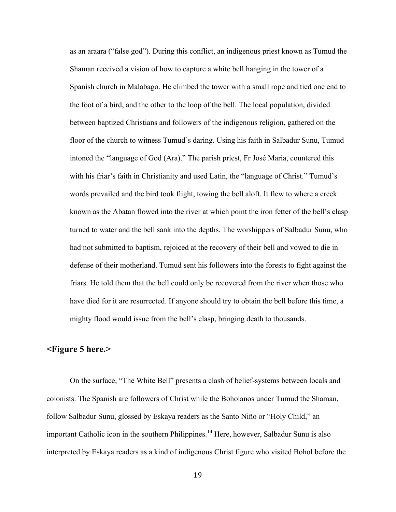as an araara ("false god"). During this conflict, an indigenous priest known as Tumud the Shaman received a vision of how to capture a white bell hanging in the tower of a Spanish church in Malabago. He climbed the tower with a small rope and tied one end to the foot of a bird, and the other to the loop of the bell. The local population, divided between baptized Christians and followers of the indigenous religion, gathered on the floor of the church to witness Tumud's daring. Using his faith in Salbadur Sunu, Tumud intoned the "language of God (Ara)." The parish priest, Fr José Maria, countered this with his friar's faith in Christianity and used Latin, the "language of Christ." Tumud's words prevailed and the bird took flight, towing the bell aloft. It flew to where a creek known as the Abatan flowed into the river at which point the iron fetter of the bell's clasp turned to water and the bell sank into the depths. The worshippers of Salbadur Sunu, who had not submitted to baptism, rejoiced at the recovery of their bell and vowed to die in defense of their motherland. Tumud sent his followers into the forests to fight against the friars. He told them that the bell could only be recovered from the river when those who have died for it are resurrected. If anyone should try to obtain the bell before this time, a mighty flood would issue from the bell's clasp, bringing death to thousands.

### **<Figure 5 here.>**

On the surface, "The White Bell" presents a clash of belief-systems between locals and colonists. The Spanish are followers of Christ while the Boholanos under Tumud the Shaman, follow Salbadur Sunu, glossed by Eskaya readers as the Santo Niño or "Holy Child," an important Catholic icon in the southern Philippines.<sup>14</sup> Here, however, Salbadur Sunu is also interpreted by Eskaya readers as a kind of indigenous Christ figure who visited Bohol before the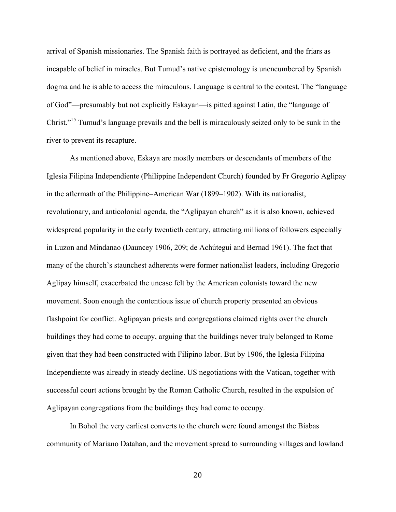arrival of Spanish missionaries. The Spanish faith is portrayed as deficient, and the friars as incapable of belief in miracles. But Tumud's native epistemology is unencumbered by Spanish dogma and he is able to access the miraculous. Language is central to the contest. The "language of God"—presumably but not explicitly Eskayan—is pitted against Latin, the "language of Christ."<sup>15</sup> Tumud's language prevails and the bell is miraculously seized only to be sunk in the river to prevent its recapture.

As mentioned above, Eskaya are mostly members or descendants of members of the Iglesia Filipina Independiente (Philippine Independent Church) founded by Fr Gregorio Aglipay in the aftermath of the Philippine–American War (1899–1902). With its nationalist, revolutionary, and anticolonial agenda, the "Aglipayan church" as it is also known, achieved widespread popularity in the early twentieth century, attracting millions of followers especially in Luzon and Mindanao (Dauncey 1906, 209; de Achútegui and Bernad 1961). The fact that many of the church's staunchest adherents were former nationalist leaders, including Gregorio Aglipay himself, exacerbated the unease felt by the American colonists toward the new movement. Soon enough the contentious issue of church property presented an obvious flashpoint for conflict. Aglipayan priests and congregations claimed rights over the church buildings they had come to occupy, arguing that the buildings never truly belonged to Rome given that they had been constructed with Filipino labor. But by 1906, the Iglesia Filipina Independiente was already in steady decline. US negotiations with the Vatican, together with successful court actions brought by the Roman Catholic Church, resulted in the expulsion of Aglipayan congregations from the buildings they had come to occupy.

In Bohol the very earliest converts to the church were found amongst the Biabas community of Mariano Datahan, and the movement spread to surrounding villages and lowland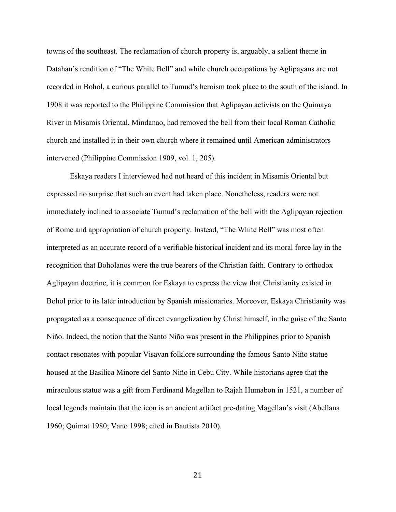towns of the southeast. The reclamation of church property is, arguably, a salient theme in Datahan's rendition of "The White Bell" and while church occupations by Aglipayans are not recorded in Bohol, a curious parallel to Tumud's heroism took place to the south of the island. In 1908 it was reported to the Philippine Commission that Aglipayan activists on the Quimaya River in Misamis Oriental, Mindanao, had removed the bell from their local Roman Catholic church and installed it in their own church where it remained until American administrators intervened (Philippine Commission 1909, vol. 1, 205).

Eskaya readers I interviewed had not heard of this incident in Misamis Oriental but expressed no surprise that such an event had taken place. Nonetheless, readers were not immediately inclined to associate Tumud's reclamation of the bell with the Aglipayan rejection of Rome and appropriation of church property. Instead, "The White Bell" was most often interpreted as an accurate record of a verifiable historical incident and its moral force lay in the recognition that Boholanos were the true bearers of the Christian faith. Contrary to orthodox Aglipayan doctrine, it is common for Eskaya to express the view that Christianity existed in Bohol prior to its later introduction by Spanish missionaries. Moreover, Eskaya Christianity was propagated as a consequence of direct evangelization by Christ himself, in the guise of the Santo Niño. Indeed, the notion that the Santo Niño was present in the Philippines prior to Spanish contact resonates with popular Visayan folklore surrounding the famous Santo Niño statue housed at the Basilica Minore del Santo Niño in Cebu City. While historians agree that the miraculous statue was a gift from Ferdinand Magellan to Rajah Humabon in 1521, a number of local legends maintain that the icon is an ancient artifact pre-dating Magellan's visit (Abellana 1960; Quimat 1980; Vano 1998; cited in Bautista 2010).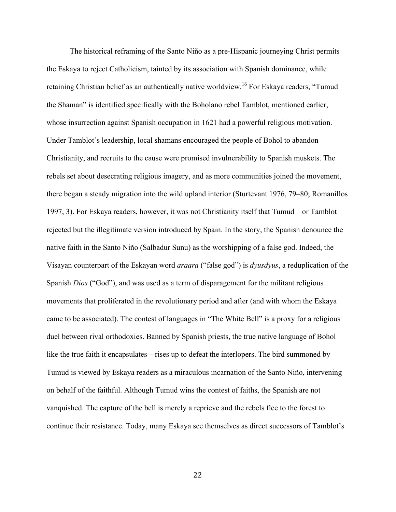The historical reframing of the Santo Niño as a pre-Hispanic journeying Christ permits the Eskaya to reject Catholicism, tainted by its association with Spanish dominance, while retaining Christian belief as an authentically native worldview.<sup>16</sup> For Eskaya readers, "Tumud the Shaman" is identified specifically with the Boholano rebel Tamblot, mentioned earlier, whose insurrection against Spanish occupation in 1621 had a powerful religious motivation. Under Tamblot's leadership, local shamans encouraged the people of Bohol to abandon Christianity, and recruits to the cause were promised invulnerability to Spanish muskets. The rebels set about desecrating religious imagery, and as more communities joined the movement, there began a steady migration into the wild upland interior (Sturtevant 1976, 79–80; Romanillos 1997, 3). For Eskaya readers, however, it was not Christianity itself that Tumud—or Tamblot rejected but the illegitimate version introduced by Spain. In the story, the Spanish denounce the native faith in the Santo Niño (Salbadur Sunu) as the worshipping of a false god. Indeed, the Visayan counterpart of the Eskayan word *araara* ("false god") is *dyusdyus*, a reduplication of the Spanish *Dios* ("God"), and was used as a term of disparagement for the militant religious movements that proliferated in the revolutionary period and after (and with whom the Eskaya came to be associated). The contest of languages in "The White Bell" is a proxy for a religious duel between rival orthodoxies. Banned by Spanish priests, the true native language of Bohol like the true faith it encapsulates—rises up to defeat the interlopers. The bird summoned by Tumud is viewed by Eskaya readers as a miraculous incarnation of the Santo Niño, intervening on behalf of the faithful. Although Tumud wins the contest of faiths, the Spanish are not vanquished. The capture of the bell is merely a reprieve and the rebels flee to the forest to continue their resistance. Today, many Eskaya see themselves as direct successors of Tamblot's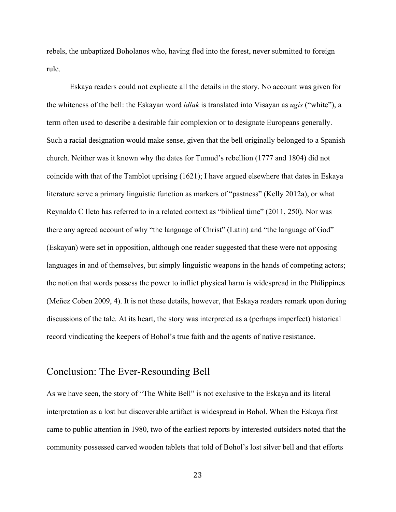rebels, the unbaptized Boholanos who, having fled into the forest, never submitted to foreign rule.

Eskaya readers could not explicate all the details in the story. No account was given for the whiteness of the bell: the Eskayan word *idlak* is translated into Visayan as *ugis* ("white"), a term often used to describe a desirable fair complexion or to designate Europeans generally. Such a racial designation would make sense, given that the bell originally belonged to a Spanish church. Neither was it known why the dates for Tumud's rebellion (1777 and 1804) did not coincide with that of the Tamblot uprising (1621); I have argued elsewhere that dates in Eskaya literature serve a primary linguistic function as markers of "pastness" (Kelly 2012a), or what Reynaldo C Ileto has referred to in a related context as "biblical time" (2011, 250). Nor was there any agreed account of why "the language of Christ" (Latin) and "the language of God" (Eskayan) were set in opposition, although one reader suggested that these were not opposing languages in and of themselves, but simply linguistic weapons in the hands of competing actors; the notion that words possess the power to inflict physical harm is widespread in the Philippines (Meñez Coben 2009, 4). It is not these details, however, that Eskaya readers remark upon during discussions of the tale. At its heart, the story was interpreted as a (perhaps imperfect) historical record vindicating the keepers of Bohol's true faith and the agents of native resistance.

### Conclusion: The Ever-Resounding Bell

As we have seen, the story of "The White Bell" is not exclusive to the Eskaya and its literal interpretation as a lost but discoverable artifact is widespread in Bohol. When the Eskaya first came to public attention in 1980, two of the earliest reports by interested outsiders noted that the community possessed carved wooden tablets that told of Bohol's lost silver bell and that efforts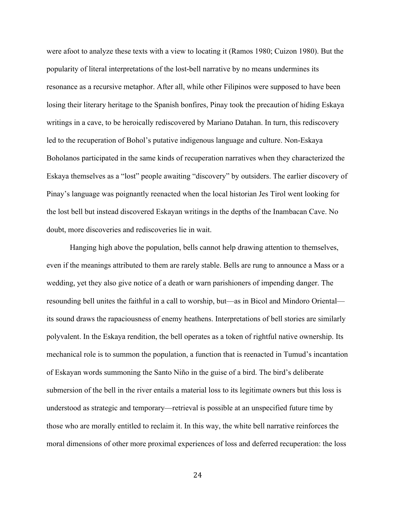were afoot to analyze these texts with a view to locating it (Ramos 1980; Cuizon 1980). But the popularity of literal interpretations of the lost-bell narrative by no means undermines its resonance as a recursive metaphor. After all, while other Filipinos were supposed to have been losing their literary heritage to the Spanish bonfires, Pinay took the precaution of hiding Eskaya writings in a cave, to be heroically rediscovered by Mariano Datahan. In turn, this rediscovery led to the recuperation of Bohol's putative indigenous language and culture. Non-Eskaya Boholanos participated in the same kinds of recuperation narratives when they characterized the Eskaya themselves as a "lost" people awaiting "discovery" by outsiders. The earlier discovery of Pinay's language was poignantly reenacted when the local historian Jes Tirol went looking for the lost bell but instead discovered Eskayan writings in the depths of the Inambacan Cave. No doubt, more discoveries and rediscoveries lie in wait.

Hanging high above the population, bells cannot help drawing attention to themselves, even if the meanings attributed to them are rarely stable. Bells are rung to announce a Mass or a wedding, yet they also give notice of a death or warn parishioners of impending danger. The resounding bell unites the faithful in a call to worship, but—as in Bicol and Mindoro Oriental its sound draws the rapaciousness of enemy heathens. Interpretations of bell stories are similarly polyvalent. In the Eskaya rendition, the bell operates as a token of rightful native ownership. Its mechanical role is to summon the population, a function that is reenacted in Tumud's incantation of Eskayan words summoning the Santo Niño in the guise of a bird. The bird's deliberate submersion of the bell in the river entails a material loss to its legitimate owners but this loss is understood as strategic and temporary—retrieval is possible at an unspecified future time by those who are morally entitled to reclaim it. In this way, the white bell narrative reinforces the moral dimensions of other more proximal experiences of loss and deferred recuperation: the loss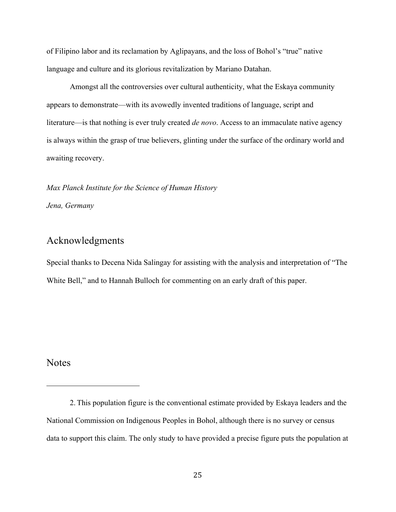of Filipino labor and its reclamation by Aglipayans, and the loss of Bohol's "true" native language and culture and its glorious revitalization by Mariano Datahan.

Amongst all the controversies over cultural authenticity, what the Eskaya community appears to demonstrate—with its avowedly invented traditions of language, script and literature—is that nothing is ever truly created *de novo*. Access to an immaculate native agency is always within the grasp of true believers, glinting under the surface of the ordinary world and awaiting recovery.

*Max Planck Institute for the Science of Human History*

*Jena, Germany*

# Acknowledgments

Special thanks to Decena Nida Salingay for assisting with the analysis and interpretation of "The White Bell," and to Hannah Bulloch for commenting on an early draft of this paper.

### **Notes**

 $\overline{a}$ 

<sup>2.</sup> This population figure is the conventional estimate provided by Eskaya leaders and the National Commission on Indigenous Peoples in Bohol, although there is no survey or census data to support this claim. The only study to have provided a precise figure puts the population at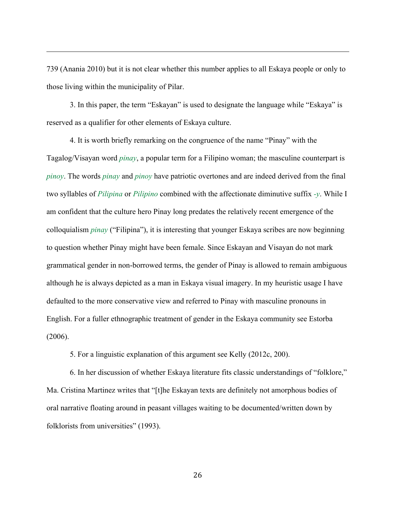739 (Anania 2010) but it is not clear whether this number applies to all Eskaya people or only to those living within the municipality of Pilar.

 $\overline{a}$ 

3. In this paper, the term "Eskayan" is used to designate the language while "Eskaya" is reserved as a qualifier for other elements of Eskaya culture.

4. It is worth briefly remarking on the congruence of the name "Pinay" with the Tagalog/Visayan word *pinay*, a popular term for a Filipino woman; the masculine counterpart is *pinoy*. The words *pinay* and *pinoy* have patriotic overtones and are indeed derived from the final two syllables of *Pilipina* or *Pilipino* combined with the affectionate diminutive suffix *-y*. While I am confident that the culture hero Pinay long predates the relatively recent emergence of the colloquialism *pinay* ("Filipina"), it is interesting that younger Eskaya scribes are now beginning to question whether Pinay might have been female. Since Eskayan and Visayan do not mark grammatical gender in non-borrowed terms, the gender of Pinay is allowed to remain ambiguous although he is always depicted as a man in Eskaya visual imagery. In my heuristic usage I have defaulted to the more conservative view and referred to Pinay with masculine pronouns in English. For a fuller ethnographic treatment of gender in the Eskaya community see Estorba (2006).

5. For a linguistic explanation of this argument see Kelly (2012c, 200).

6. In her discussion of whether Eskaya literature fits classic understandings of "folklore," Ma. Cristina Martinez writes that "[t]he Eskayan texts are definitely not amorphous bodies of oral narrative floating around in peasant villages waiting to be documented/written down by folklorists from universities" (1993).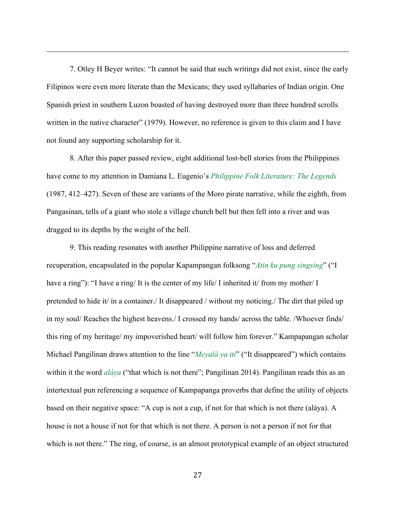7. Otley H Beyer writes: "It cannot be said that such writings did not exist, since the early Filipinos were even more literate than the Mexicans; they used syllabaries of Indian origin. One Spanish priest in southern Luzon boasted of having destroyed more than three hundred scrolls written in the native character" (1979). However, no reference is given to this claim and I have not found any supporting scholarship for it.

 $\overline{a}$ 

8. After this paper passed review, eight additional lost-bell stories from the Philippines have come to my attention in Damiana L. Eugenio's *Philippine Folk Literature: The Legends* (1987, 412–427). Seven of these are variants of the Moro pirate narrative, while the eighth, from Pangasinan, tells of a giant who stole a village church bell but then fell into a river and was dragged to its depths by the weight of the bell.

9. This reading resonates with another Philippine narrative of loss and deferred recuperation, encapsulated in the popular Kapampangan folksong "*Atin ku pung singsing*" ("I have a ring"): "I have a ring/ It is the center of my life/ I inherited it/ from my mother/ I pretended to hide it/ in a container./ It disappeared / without my noticing./ The dirt that piled up in my soul/ Reaches the highest heavens./ I crossed my hands/ across the table. /Whoever finds/ this ring of my heritage/ my impoverished heart/ will follow him forever." Kampapangan scholar Michael Pangilinan draws attention to the line "*Meyalâ ya iti*" ("It disappeared") which contains within it the word *aláya* ("that which is not there"; Pangilinan 2014). Pangilinan reads this as an intertextual pun referencing a sequence of Kampapanga proverbs that define the utility of objects based on their negative space: "A cup is not a cup, if not for that which is not there (aláya). A house is not a house if not for that which is not there. A person is not a person if not for that which is not there." The ring, of course, is an almost prototypical example of an object structured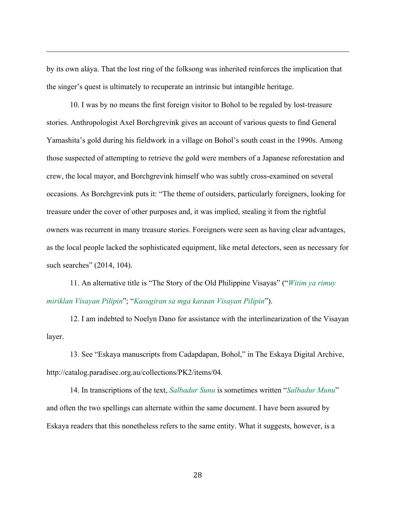by its own aláya. That the lost ring of the folksong was inherited reinforces the implication that the singer's quest is ultimately to recuperate an intrinsic but intangible heritage.

 $\overline{a}$ 

10. I was by no means the first foreign visitor to Bohol to be regaled by lost-treasure stories. Anthropologist Axel Borchgrevink gives an account of various quests to find General Yamashita's gold during his fieldwork in a village on Bohol's south coast in the 1990s. Among those suspected of attempting to retrieve the gold were members of a Japanese reforestation and crew, the local mayor, and Borchgrevink himself who was subtly cross-examined on several occasions. As Borchgrevink puts it: "The theme of outsiders, particularly foreigners, looking for treasure under the cover of other purposes and, it was implied, stealing it from the rightful owners was recurrent in many treasure stories. Foreigners were seen as having clear advantages, as the local people lacked the sophisticated equipment, like metal detectors, seen as necessary for such searches" (2014, 104).

11. An alternative title is "The Story of the Old Philippine Visayas" ("*Witim ya rimuy miriklan Visayan Pilipin*"; "*Kasugiran sa mga karaan Visayan Pilipin*").

12. I am indebted to Noelyn Dano for assistance with the interlinearization of the Visayan layer.

13. See "Eskaya manuscripts from Cadapdapan, Bohol," in The Eskaya Digital Archive, http://catalog.paradisec.org.au/collections/PK2/items/04.

14. In transcriptions of the text, *Salbadur Sunu* is sometimes written "*Salbadur Munu*" and often the two spellings can alternate within the same document. I have been assured by Eskaya readers that this nonetheless refers to the same entity. What it suggests, however, is a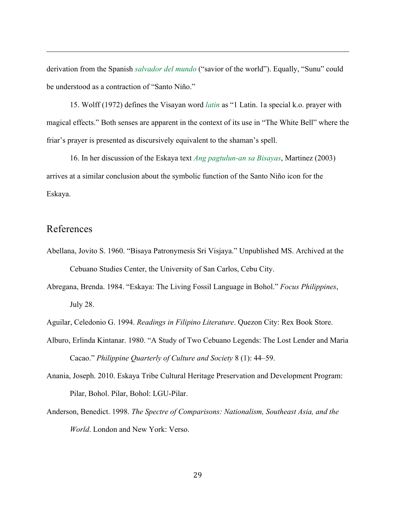derivation from the Spanish *salvador del mundo* ("savior of the world"). Equally, "Sunu" could be understood as a contraction of "Santo Niño."

15. Wolff (1972) defines the Visayan word *latin* as "1 Latin. 1a special k.o. prayer with magical effects." Both senses are apparent in the context of its use in "The White Bell" where the friar's prayer is presented as discursively equivalent to the shaman's spell.

16. In her discussion of the Eskaya text *Ang pagtulun-an sa Bisayas*, Martinez (2003) arrives at a similar conclusion about the symbolic function of the Santo Niño icon for the Eskaya.

# References

 $\overline{a}$ 

- Abellana, Jovito S. 1960. "Bisaya Patronymesis Sri Visjaya." Unpublished MS. Archived at the Cebuano Studies Center, the University of San Carlos, Cebu City.
- Abregana, Brenda. 1984. "Eskaya: The Living Fossil Language in Bohol." *Focus Philippines*, July 28.

Aguilar, Celedonio G. 1994. *Readings in Filipino Literature*. Quezon City: Rex Book Store.

- Alburo, Erlinda Kintanar. 1980. "A Study of Two Cebuano Legends: The Lost Lender and Maria Cacao." *Philippine Quarterly of Culture and Society* 8 (1): 44–59.
- Anania, Joseph. 2010. Eskaya Tribe Cultural Heritage Preservation and Development Program: Pilar, Bohol. Pilar, Bohol: LGU-Pilar.
- Anderson, Benedict. 1998. *The Spectre of Comparisons: Nationalism, Southeast Asia, and the World*. London and New York: Verso.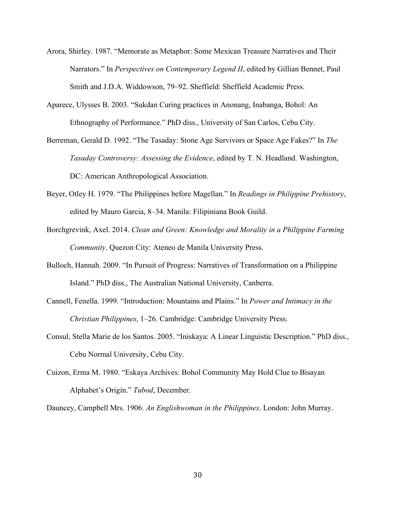- Arora, Shirley. 1987. "Memorate as Metaphor: Some Mexican Treasure Narratives and Their Narrators." In *Perspectives on Contemporary Legend II*, edited by Gillian Bennet, Paul Smith and J.D.A. Widdowson, 79–92. Sheffield: Sheffield Academic Press.
- Aparece, Ulysses B. 2003. "Sukdan Curing practices in Anonang, Inabanga, Bohol: An Ethnography of Performance." PhD diss., University of San Carlos, Cebu City.
- Berreman, Gerald D. 1992. "The Tasaday: Stone Age Survivors or Space Age Fakes?" In *The Tasaday Controversy: Assessing the Evidence*, edited by T. N. Headland. Washington, DC: American Anthropological Association.
- Beyer, Otley H. 1979. "The Philippines before Magellan." In *Readings in Philippine Prehistory*, edited by Mauro Garcia, 8–34. Manila: Filipiniana Book Guild.
- Borchgrevink, Axel. 2014. *Clean and Green: Knowledge and Morality in a Philippine Farming Community*. Quezon City: Ateneo de Manila University Press.
- Bulloch, Hannah. 2009. "In Pursuit of Progress: Narratives of Transformation on a Philippine Island." PhD diss., The Australian National University, Canberra.
- Cannell, Fenella. 1999. "Introduction: Mountains and Plains." In *Power and Intimacy in the Christian Philippines*, 1–26. Cambridge: Cambridge University Press.
- Consul, Stella Marie de los Santos. 2005. "Iniskaya: A Linear Linguistic Description." PhD diss., Cebu Normal University, Cebu City.
- Cuizon, Erma M. 1980. "Eskaya Archives: Bohol Community May Hold Clue to Bisayan Alphabet's Origin." *Tubod*, December.

Dauncey, Campbell Mrs. 1906. *An Englishwoman in the Philippines*. London: John Murray.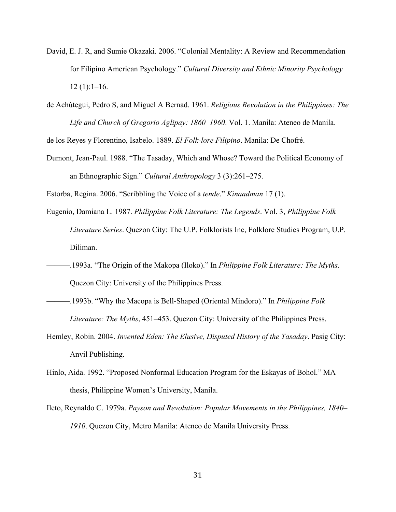- David, E. J. R, and Sumie Okazaki. 2006. "Colonial Mentality: A Review and Recommendation for Filipino American Psychology." *Cultural Diversity and Ethnic Minority Psychology*  $12(1):1-16.$
- de Achútegui, Pedro S, and Miguel A Bernad. 1961. *Religious Revolution in the Philippines: The Life and Church of Gregorio Aglipay: 1860–1960*. Vol. 1. Manila: Ateneo de Manila.

de los Reyes y Florentino, Isabelo. 1889. *El Folk-lore Filipino*. Manila: De Chofré.

Dumont, Jean-Paul. 1988. "The Tasaday, Which and Whose? Toward the Political Economy of an Ethnographic Sign." *Cultural Anthropology* 3 (3):261–275.

Estorba, Regina. 2006. "Scribbling the Voice of a *tende*." *Kinaadman* 17 (1).

- Eugenio, Damiana L. 1987. *Philippine Folk Literature: The Legends*. Vol. 3, *Philippine Folk Literature Series*. Quezon City: The U.P. Folklorists Inc, Folklore Studies Program, U.P. Diliman.
- ———.1993a. "The Origin of the Makopa (Iloko)." In *Philippine Folk Literature: The Myths*. Quezon City: University of the Philippines Press.
- ———.1993b. "Why the Macopa is Bell-Shaped (Oriental Mindoro)." In *Philippine Folk Literature: The Myths*, 451–453. Quezon City: University of the Philippines Press.
- Hemley, Robin. 2004. *Invented Eden: The Elusive, Disputed History of the Tasaday*. Pasig City: Anvil Publishing.
- Hinlo, Aida. 1992. "Proposed Nonformal Education Program for the Eskayas of Bohol." MA thesis, Philippine Women's University, Manila.
- Ileto, Reynaldo C. 1979a. *Payson and Revolution: Popular Movements in the Philippines, 1840– 1910*. Quezon City, Metro Manila: Ateneo de Manila University Press.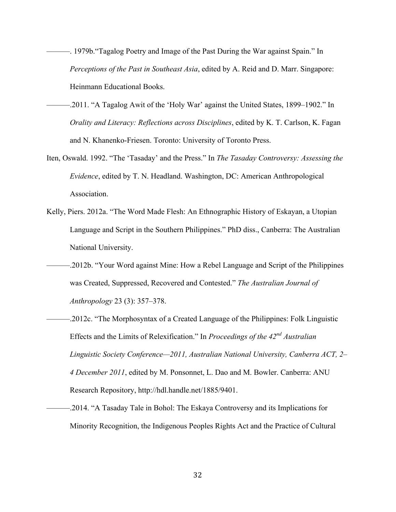- ———. 1979b."Tagalog Poetry and Image of the Past During the War against Spain." In *Perceptions of the Past in Southeast Asia*, edited by A. Reid and D. Marr. Singapore: Heinmann Educational Books.
- -.2011. "A Tagalog Awit of the 'Holy War' against the United States, 1899–1902." In *Orality and Literacy: Reflections across Disciplines*, edited by K. T. Carlson, K. Fagan and N. Khanenko-Friesen. Toronto: University of Toronto Press.
- Iten, Oswald. 1992. "The 'Tasaday' and the Press." In *The Tasaday Controversy: Assessing the Evidence*, edited by T. N. Headland. Washington, DC: American Anthropological Association.
- Kelly, Piers. 2012a. "The Word Made Flesh: An Ethnographic History of Eskayan, a Utopian Language and Script in the Southern Philippines." PhD diss., Canberra: The Australian National University.
- -.2012b. "Your Word against Mine: How a Rebel Language and Script of the Philippines was Created, Suppressed, Recovered and Contested." *The Australian Journal of Anthropology* 23 (3): 357–378.
- -2012c. "The Morphosyntax of a Created Language of the Philippines: Folk Linguistic Effects and the Limits of Relexification." In *Proceedings of the 42nd Australian Linguistic Society Conference—2011, Australian National University, Canberra ACT, 2– 4 December 2011*, edited by M. Ponsonnet, L. Dao and M. Bowler. Canberra: ANU Research Repository, http://hdl.handle.net/1885/9401.
- -.2014. "A Tasaday Tale in Bohol: The Eskaya Controversy and its Implications for Minority Recognition, the Indigenous Peoples Rights Act and the Practice of Cultural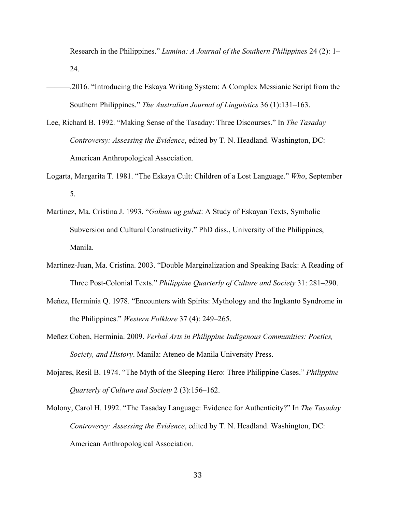Research in the Philippines." *Lumina: A Journal of the Southern Philippines* 24 (2): 1– 24.

- -.2016. "Introducing the Eskaya Writing System: A Complex Messianic Script from the Southern Philippines." *The Australian Journal of Linguistics* 36 (1):131–163.
- Lee, Richard B. 1992. "Making Sense of the Tasaday: Three Discourses." In *The Tasaday Controversy: Assessing the Evidence*, edited by T. N. Headland. Washington, DC: American Anthropological Association.
- Logarta, Margarita T. 1981. "The Eskaya Cult: Children of a Lost Language." *Who*, September 5.
- Martinez, Ma. Cristina J. 1993. "*Gahum ug gubat*: A Study of Eskayan Texts, Symbolic Subversion and Cultural Constructivity." PhD diss., University of the Philippines, Manila.
- Martinez-Juan, Ma. Cristina. 2003. "Double Marginalization and Speaking Back: A Reading of Three Post-Colonial Texts." *Philippine Quarterly of Culture and Society* 31: 281–290.
- Meñez, Herminia Q. 1978. "Encounters with Spirits: Mythology and the Ingkanto Syndrome in the Philippines." *Western Folklore* 37 (4): 249–265.
- Meñez Coben, Herminia. 2009. *Verbal Arts in Philippine Indigenous Communities: Poetics, Society, and History*. Manila: Ateneo de Manila University Press.
- Mojares, Resil B. 1974. "The Myth of the Sleeping Hero: Three Philippine Cases." *Philippine Quarterly of Culture and Society* 2 (3):156–162.
- Molony, Carol H. 1992. "The Tasaday Language: Evidence for Authenticity?" In *The Tasaday Controversy: Assessing the Evidence*, edited by T. N. Headland. Washington, DC: American Anthropological Association.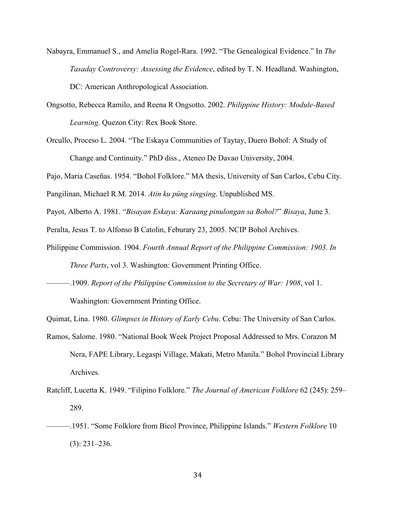- Nabayra, Emmanuel S., and Amelia Rogel-Rara. 1992. "The Genealogical Evidence." In *The Tasaday Controversy: Assessing the Evidence*, edited by T. N. Headland. Washington, DC: American Anthropological Association.
- Ongsotto, Rebecca Ramilo, and Reena R Ongsotto. 2002. *Philippine History: Module-Based Learning*. Quezon City: Rex Book Store.
- Orcullo, Proceso L. 2004. "The Eskaya Communities of Taytay, Duero Bohol: A Study of Change and Continuity." PhD diss., Ateneo De Davao University, 2004.

Pajo, Maria Caseñas. 1954. "Bohol Folklore." MA thesis, University of San Carlos, Cebu City.

Pangilinan, Michael R.M. 2014. *Atin ku pûng singsing*. Unpublished MS.

Payot, Alberto A. 1981. "*Bisayan Eskaya: Karaang pinulongan sa Bohol?*" *Bisaya*, June 3.

Peralta, Jesus T. to Alfonso B Catolin, Feburary 23, 2005. NCIP Bohol Archives.

Philippine Commission. 1904. *Fourth Annual Report of the Philippine Commission: 1903. In Three Parts*, vol 3. Washington: Government Printing Office.

———.1909. *Report of the Philippine Commission to the Secretary of War: 1908*, vol 1. Washington: Government Printing Office.

Quimat, Lina. 1980. *Glimpses in History of Early Cebu*. Cebu: The University of San Carlos.

- Ramos, Salome. 1980. "National Book Week Project Proposal Addressed to Mrs. Corazon M Nera, FAPE Library, Legaspi Village, Makati, Metro Manila." Bohol Provincial Library Archives.
- Ratcliff, Lucetta K. 1949. "Filipino Folklore." *The Journal of American Folklore* 62 (245): 259– 289.
- ———.1951. "Some Folklore from Bicol Province, Philippine Islands." *Western Folklore* 10 (3): 231–236.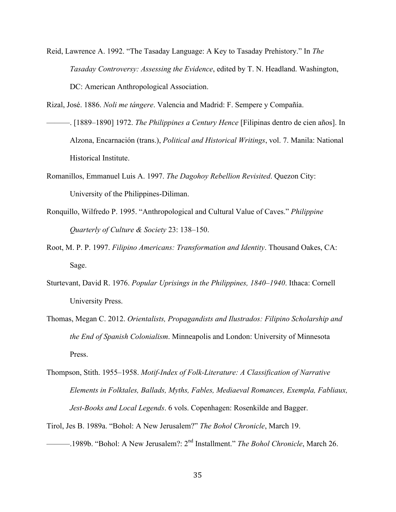Reid, Lawrence A. 1992. "The Tasaday Language: A Key to Tasaday Prehistory." In *The Tasaday Controversy: Assessing the Evidence*, edited by T. N. Headland. Washington, DC: American Anthropological Association.

Rizal, José. 1886. *Noli me tángere*. Valencia and Madrid: F. Sempere y Compañía.

- ———. [1889–1890] 1972. *The Philippines a Century Hence* [Filipinas dentro de cien años]. In Alzona, Encarnación (trans.), *Political and Historical Writings*, vol. 7. Manila: National Historical Institute.
- Romanillos, Emmanuel Luis A. 1997. *The Dagohoy Rebellion Revisited*. Quezon City: University of the Philippines-Diliman.
- Ronquillo, Wilfredo P. 1995. "Anthropological and Cultural Value of Caves." *Philippine Quarterly of Culture & Society* 23: 138–150.
- Root, M. P. P. 1997. *Filipino Americans: Transformation and Identity*. Thousand Oakes, CA: Sage.
- Sturtevant, David R. 1976. *Popular Uprisings in the Philippines, 1840–1940*. Ithaca: Cornell University Press.
- Thomas, Megan C. 2012. *Orientalists, Propagandists and Ilustrados: Filipino Scholarship and the End of Spanish Colonialism*. Minneapolis and London: University of Minnesota Press.
- Thompson, Stith. 1955–1958. *Motif-Index of Folk-Literature: A Classification of Narrative Elements in Folktales, Ballads, Myths, Fables, Mediaeval Romances, Exempla, Fabliaux, Jest-Books and Local Legends*. 6 vols. Copenhagen: Rosenkilde and Bagger.
- Tirol, Jes B. 1989a. "Bohol: A New Jerusalem?" *The Bohol Chronicle*, March 19. ———.1989b. "Bohol: A New Jerusalem?: 2nd Installment." *The Bohol Chronicle*, March 26.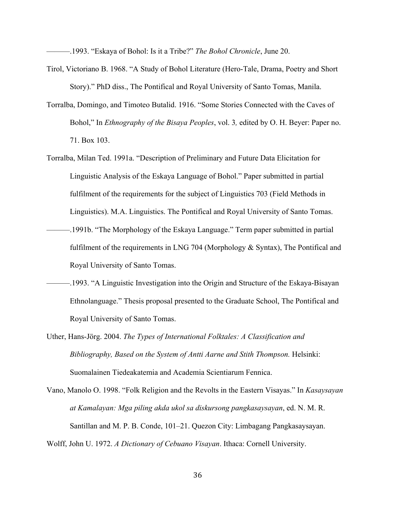———.1993. "Eskaya of Bohol: Is it a Tribe?" *The Bohol Chronicle*, June 20.

- Tirol, Victoriano B. 1968. "A Study of Bohol Literature (Hero-Tale, Drama, Poetry and Short Story)." PhD diss., The Pontifical and Royal University of Santo Tomas, Manila.
- Torralba, Domingo, and Timoteo Butalid. 1916. "Some Stories Connected with the Caves of Bohol," In *Ethnography of the Bisaya Peoples*, vol. 3*,* edited by O. H. Beyer: Paper no. 71. Box 103.
- Torralba, Milan Ted. 1991a. "Description of Preliminary and Future Data Elicitation for Linguistic Analysis of the Eskaya Language of Bohol." Paper submitted in partial fulfilment of the requirements for the subject of Linguistics 703 (Field Methods in Linguistics). M.A. Linguistics. The Pontifical and Royal University of Santo Tomas.
- -.1991b. "The Morphology of the Eskaya Language." Term paper submitted in partial fulfilment of the requirements in LNG 704 (Morphology & Syntax), The Pontifical and Royal University of Santo Tomas.
- -1993. "A Linguistic Investigation into the Origin and Structure of the Eskaya-Bisayan Ethnolanguage." Thesis proposal presented to the Graduate School, The Pontifical and Royal University of Santo Tomas.
- Uther, Hans-Jörg. 2004. *The Types of International Folktales: A Classification and Bibliography, Based on the System of Antti Aarne and Stith Thompson.* Helsinki: Suomalainen Tiedeakatemia and Academia Scientiarum Fennica.

Vano, Manolo O. 1998. "Folk Religion and the Revolts in the Eastern Visayas." In *Kasaysayan at Kamalayan: Mga piling akda ukol sa diskursong pangkasaysayan*, ed. N. M. R. Santillan and M. P. B. Conde, 101–21. Quezon City: Limbagang Pangkasaysayan. Wolff, John U. 1972. *A Dictionary of Cebuano Visayan*. Ithaca: Cornell University.